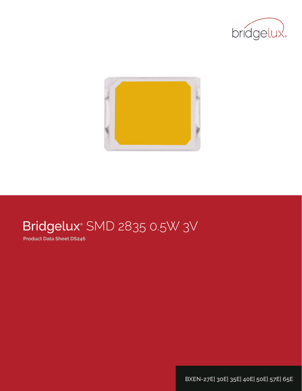



# Bridgelux® SMD 2835 0.5W 3V

**Product Data Sheet DS246**

**BXEN-27E| 30E| 35E| 40E| 50E| 57E| 65E**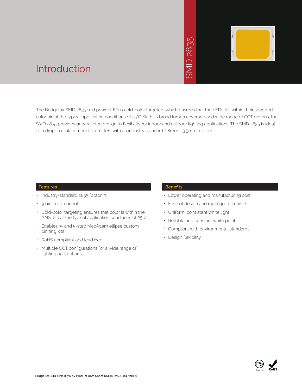

## Introduction

The Bridgelux SMD 2835 mid power LED is cold-color targeted, which ensures that the LEDs fall within their specified color bin at the typical application conditions of 25°C. With its broad lumen coverage and wide range of CCT options, the SMD 2835 provides unparalleled design-in flexibility for indoor and outdoor lighting applications. The SMD 2835 is ideal For Bridgelux SMD 2835 mid power LED is cold-color targeted, which ensures that the LE<br>
For emitters with an industry standard and increase and v<br>
SMD 2835 provides unparalleled design-in flexibility for indoor and outdoor

### **Features**

- Industry-standard 2835 footprint
- 9 bin color control
- Cold-color targeting ensures that color is within the ANSI bin at the typical application conditions of 25°C
- Enables 3- and 5-step MacAdam ellipse custom binning kits
- RoHS compliant and lead free
- Multiple CCT configurations for a wide range of lighting applications

#### **Benefits**

- Lower operating and manufacturing cost
- Ease of design and rapid go-to-market
- Uniform, consistent white light
- Reliable and constant white point
- Compliant with environmental standards
- Design flexibility

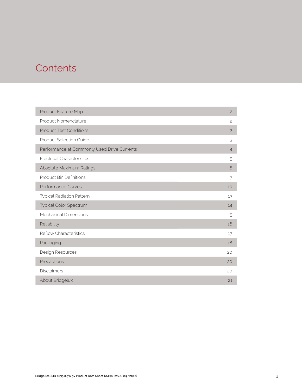# **Contents**

| Product Feature Map                         | $\overline{c}$ |
|---------------------------------------------|----------------|
| Product Nomenclature                        | $\overline{c}$ |
| <b>Product Test Conditions</b>              | $\overline{c}$ |
| <b>Product Selection Guide</b>              | 3              |
| Performance at Commonly Used Drive Currents | $\overline{4}$ |
| <b>Electrical Characteristics</b>           | 5              |
| Absolute Maximum Ratings                    | 6              |
| <b>Product Bin Definitions</b>              | 7              |
| Performance Curves                          | 10             |
| <b>Typical Radiation Pattern</b>            | 13             |
| Typical Color Spectrum                      | 14             |
| Mechanical Dimensions                       | 15             |
| Reliability                                 | 16             |
| <b>Reflow Characteristics</b>               | 17             |
| Packaging                                   | 18             |
| Design Resources                            | 20             |
| Precautions                                 | 20             |
| <b>Disclaimers</b>                          | 20             |
| About Bridgelux                             | 21             |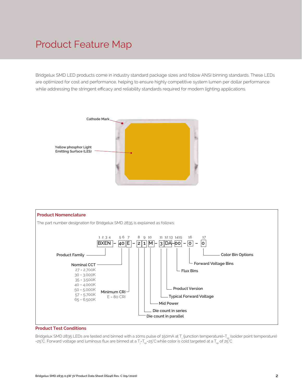# Product Feature Map

Bridgelux SMD LED products come in industry standard package sizes and follow ANSI binning standards. These LEDs are optimized for cost and performance, helping to ensure highly competitive system lumen per dollar performance while addressing the stringent efficacy and reliability standards required for modern lighting applications.





#### **Product Test Conditions**

Bridgelux SMD 2835 LEDs are tested and binned with a 10ms pulse of 150mA at T<sub>j</sub> (junction temperature)=T<sub>sp</sub> (solder point temperature) =25°C. Forward voltage and luminous flux are binned at a T<sub>j</sub>-T<sub>sp</sub>=25°C.while color is cold targeted at a T<sub>sp</sub> of 25°C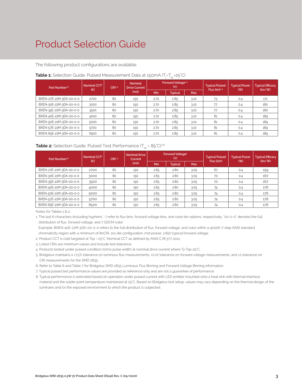# Product Selection Guide

The following product configurations are available:

| Part Number <sup>1,6</sup> | Nominal CCT <sup>2</sup><br>(K) | CRI35 |      |      | Forward Voltage <sup>4.5</sup><br>(V) |            | <b>Typical Pulsed</b><br>$Flux$ (lm) $4.5$ | <b>Typical Power</b><br>(W) | <b>Typical Efficacy</b><br>$\langle \text{Im}/\text{W} \rangle$ |
|----------------------------|---------------------------------|-------|------|------|---------------------------------------|------------|--------------------------------------------|-----------------------------|-----------------------------------------------------------------|
|                            |                                 |       | (mA) | Min  | <b>Typical</b>                        | <b>Max</b> |                                            |                             |                                                                 |
| BXEN-27E-21M-3DA-00-0-0    | 2700                            | 80    | 150  | 2.70 | 2.85                                  | 3.10       | 73                                         | 0.4                         | 171                                                             |
| BXEN-30E-21M-3DA-00-0-0    | 3000                            | 80    | 150  | 2.70 | 2.85                                  | 3.10       | 77                                         | 0.4                         | 180                                                             |
| BXEN-35E-21M-3DA-00-0-0    | 3500                            | 80    | 150  | 2.70 | 2.85                                  | 3.10       | 77                                         | 0.4                         | 180                                                             |
| BXEN-40E-21M-3DA-00-0-0    | 4000                            | 80    | 150  | 2.70 | 2.85                                  | 3.10       | 81                                         | 0.4                         | 189                                                             |
| BXEN-50E-21M-3DA-00-0-0    | 5000                            | 80    | 150  | 2.70 | 2.85                                  | 3.10       | 81                                         | 0.4                         | 189                                                             |
| BXEN-57E-21M-3DA-00-0-0    | 5700                            | 80    | 150  | 2.70 | 2.85                                  | 3.10       | 81                                         | 0.4                         | 189                                                             |
| BXEN-65E-21M-3DA-00-0-0    | 6500                            | 80    | 150  | 2.70 | 2.85                                  | 3.10       | 81                                         | 0.4                         | 189                                                             |

### **Table 1:** Selection Guide, Pulsed Measurement Data at 150mA (T<sub>j</sub>=T<sub>sp</sub>=25°C)

### **Table 2:** Selection Guide, Pulsed Test Performance  $(T_{\rm SD} = 85^{\circ}C)^{7,8}$

| Part Number <sup>1,6</sup> | Nominal CCT <sup>2</sup><br>(K) | CRI3-5 | <b>Nominal Drive</b><br>Current |      | Forward Voltage <sup>5</sup><br>(V) |            | <b>Typical Pulsed</b><br>Flux (lm) <sup>5</sup> | <b>Typical Power</b><br>(W) | <b>Typical Efficacy</b><br>$\langle \text{Im}/\text{W} \rangle$ |  |
|----------------------------|---------------------------------|--------|---------------------------------|------|-------------------------------------|------------|-------------------------------------------------|-----------------------------|-----------------------------------------------------------------|--|
|                            |                                 |        | (mA)                            | Min  | <b>Typical</b>                      | <b>Max</b> |                                                 |                             |                                                                 |  |
| BXEN-27E-21M-3DA-00-0-0    | 2700                            | 80     | 150                             | 2.65 | 2.80                                | 3.05       | 67                                              | 0.4                         | 159                                                             |  |
| BXEN-30E-21M-3DA-00-0-0    | 3000                            | 80     | 150                             | 2.65 | 2.80                                | 3.05       | 70                                              | 0.4                         | 167                                                             |  |
| BXEN-35E-21M-3DA-00-0-0    | 3500                            | 80     | 150                             | 2.65 | 2.80                                | 3.05       | 70                                              | 0.4                         | 167                                                             |  |
| BXEN-40E-21M-3DA-00-0-0    | 4000                            | 80     | 150                             | 2.65 | 2.80                                | 3.05       | 74                                              | 0.4                         | 176                                                             |  |
| BXEN-50E-21M-3DA-00-0-0    | 5000                            | 80     | 150                             | 2.65 | 2.80                                | 3.05       | 74                                              | 0.4                         | 176                                                             |  |
| BXEN-57E-21M-3DA-00-0-0    | 5700                            | 80     | 150                             | 2.65 | 2.80                                | 3.05       | 74                                              | 0.4                         | 176                                                             |  |
| BXEN-65E-21M-3DA-00-0-0    | 6500                            | 80     | 150                             | 2.65 | 2.80                                | 3.05       | 74                                              | 0.4                         | 176                                                             |  |

Notes for Tables 1 & 2:

1. The last 6 characters (including hyphens '-') refer to flux bins, forward voltage bins, and color bin options, respectively. "00-0-0" denotes the full distribution of flux, forward voltage, and 7 SDCM color.

 Example: BXEN-40E-21M-3DA-00-0-0 refers to the full distribution of flux, forward voltage, and color within a 4000K 7-step ANSI standard chromaticity region with a minimum of 80CRI, 2x1 die configuration, mid power, 2.85V typical forward voltage.

2. Product CCT is cold targeted at Tsp = 25°C. Nominal CCT as defined by ANSI C78.377-2011.

3. Listed CRIs are minimum values and include test tolerance.

4. Products tested under pulsed condition (10ms pulse width) at nominal drive current where Tj=Tsp=25°C.

5. Bridgelux maintains a ±7.5% tolerance on luminous flux measurements, ±0.1V tolerance on forward voltage measurements, and ±2 tolerance on CRI measurements for the SMD 2835.

6. Refer to Table 6 and Table 7 for Bridgelux SMD 2835 Luminous Flux Binning and Forward Voltage Binning information.

7. Typical pulsed test performance values are provided as reference only and are not a guarantee of performance.

8. Typical performance is estimated based on operation under pulsed current with LED emitter mounted onto a heat sink with thermal interface material and the solder point temperature maintained at 25°C. Based on Bridgelux test setup, values may vary depending on the thermal design of the luminaire and/or the exposed environment to which the product is subjected.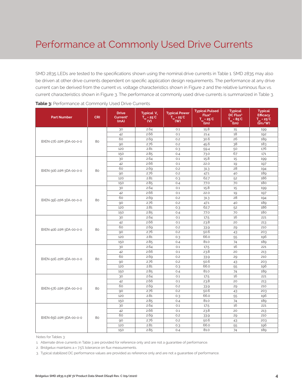# Performance at Commonly Used Drive Currents

SMD 2835 LEDs are tested to the specifications shown using the nominal drive currents in Table 1. SMD 2835 may also be driven at other drive currents dependent on specific application design requirements. The performance at any drive current can be derived from the current vs. voltage characteristics shown in Figure 2 and the relative luminous flux vs. current characteristics shown in Figure 3. The performance at commonly used drive currents is summarized in Table 3.

| <b>Part Number</b>      | <b>CRI</b> | <b>Drive</b><br>Current <sup>1</sup><br>(mA) | Typical V.<br>$\overline{I_{\rm sp}}$ = 25°C<br>(V) | <b>Typical Power</b><br>$\overline{I_{\rm sp}}$ = 25 <sup>°</sup> C<br>(wy) | <b>Typical Pulsed</b><br>Flux <sup>2</sup><br>$T_{\rm SD} = 25^{\circ}C$<br>(lm) | <b>Typical</b><br>DC Flux <sup>3</sup><br>$T = 85^{\circ}$ C<br>(lm) | <b>Typical</b><br><b>Efficacy</b><br>$T_{-}$ = 25°C<br>$\frac{(\mathbf{m})}{(\mathbf{m})}$ |
|-------------------------|------------|----------------------------------------------|-----------------------------------------------------|-----------------------------------------------------------------------------|----------------------------------------------------------------------------------|----------------------------------------------------------------------|--------------------------------------------------------------------------------------------|
|                         |            | 30                                           | 2.64                                                | 0.1                                                                         | 15.8                                                                             | 15                                                                   | 199                                                                                        |
|                         |            | 42                                           | 2.66                                                | O.1                                                                         | 21.4                                                                             | 18                                                                   | 192                                                                                        |
|                         | 80         | 60                                           | 2.69                                                | 0.2                                                                         | 30.6                                                                             | 26                                                                   | 189                                                                                        |
| BXEN-27E-21M-3DA-00-0-0 |            | 90                                           | 2.76                                                | 0.2                                                                         | 45.6                                                                             | 38                                                                   | 183                                                                                        |
|                         |            | 120                                          | 2.81                                                | 0.3                                                                         | 59.4                                                                             | 50                                                                   | 176                                                                                        |
|                         |            | 150                                          | 2.85                                                | 0.4                                                                         | 73.0                                                                             | 67                                                                   | 171                                                                                        |
|                         |            | 30                                           | 2.64                                                | 0.1                                                                         | 15.8                                                                             | 15                                                                   | 199                                                                                        |
|                         |            | 42                                           | 2.66                                                | 0.1                                                                         | 22.0                                                                             | 19                                                                   | 197                                                                                        |
| BXEN-30E-21M-3DA-00-0-0 | 80         | 60                                           | 2.69                                                | 0.2                                                                         | 31.3                                                                             | 28                                                                   | 194                                                                                        |
|                         |            | 90                                           | 2.76                                                | 0.2                                                                         | 47.1                                                                             | 40                                                                   | 189                                                                                        |
|                         |            | 120                                          | 2.81                                                | 0.3                                                                         | 62.7                                                                             | 52                                                                   | 186                                                                                        |
|                         |            | 150                                          | 2.85                                                | 0.4                                                                         | 77.0                                                                             | 70                                                                   | 180                                                                                        |
|                         |            | 30                                           | 2.64                                                | O.1                                                                         | 15.8                                                                             | 15                                                                   | 199                                                                                        |
|                         |            | 42                                           | 2.66                                                | 0.1                                                                         | 22.0                                                                             | 19                                                                   | 197                                                                                        |
| BXEN-35E-21M-3DA-00-0-0 | 80         | 60                                           | 2.69                                                | 0.2                                                                         | 31.3                                                                             | 28                                                                   | 194                                                                                        |
|                         |            | 90                                           | 2.76                                                | 0.2                                                                         | 47.1                                                                             | 40                                                                   | 189                                                                                        |
|                         |            | 120                                          | 2.81                                                | 0.3                                                                         | 62.7                                                                             | 52                                                                   | 186                                                                                        |
|                         |            | 150                                          | 2.85                                                | 0.4                                                                         | 77.0                                                                             | 70                                                                   | 180                                                                                        |
|                         |            | 30                                           | 2.64                                                | 0.1                                                                         | 17.5                                                                             | 16                                                                   | 221                                                                                        |
|                         |            | 42                                           | 2.66                                                | 0.1                                                                         | 23.8                                                                             | 20                                                                   | 213                                                                                        |
| BXEN-40E-21M-3DA-00-0-0 | 80         | 60                                           | 2.69                                                | 0.2                                                                         | 33.9                                                                             | 29                                                                   | 210                                                                                        |
|                         |            | 90                                           | 2.76                                                | 0.2                                                                         | 50.6                                                                             | 43                                                                   | 203                                                                                        |
|                         |            | 120                                          | 2.81                                                | 0.3                                                                         | 66.0                                                                             | 55                                                                   | 196                                                                                        |
|                         |            | 150                                          | 2.85                                                | 0.4                                                                         | 81.0                                                                             | 74                                                                   | 189                                                                                        |
|                         |            | 30                                           | 2.64                                                | O.1                                                                         | 17.5                                                                             | 16                                                                   | 221                                                                                        |
|                         |            | 42                                           | 2.66                                                | O.1                                                                         | 23.8                                                                             | 20                                                                   | 213                                                                                        |
| BXEN-50E-21M-3DA-00-0-0 | 80         | 60                                           | 2.69                                                | 0.2                                                                         | 33.9                                                                             | 29                                                                   | 210                                                                                        |
|                         |            | 90                                           | 2.76                                                | 0.2                                                                         | 50.6                                                                             | 43                                                                   | 203                                                                                        |
|                         |            | 120                                          | 2.81                                                | 0.3                                                                         | 66.0                                                                             | 55                                                                   | 196                                                                                        |
|                         |            | 150                                          | 2.85                                                | 0.4                                                                         | 81.0                                                                             | 74                                                                   | 189                                                                                        |
|                         |            | 30                                           | 2.64                                                | O.1                                                                         | 17.5                                                                             | 16                                                                   | 221                                                                                        |
|                         |            | 42                                           | 2.66                                                | O.1                                                                         | 23.8                                                                             | 20                                                                   | 213                                                                                        |
| BXEN-57E-21M-3DA-00-0-0 | 80         | 60                                           | 2.69                                                | 0.2                                                                         | 33.9                                                                             | 29                                                                   | 210                                                                                        |
|                         |            | 90                                           | 2.76                                                | 0.2                                                                         | 50.6                                                                             | 43                                                                   | 203                                                                                        |
|                         |            | 120                                          | 2.81                                                | 0.3                                                                         | 66.0                                                                             | 55                                                                   | 196                                                                                        |
|                         |            | 150                                          | 2.85                                                | 0.4                                                                         | 81.0                                                                             | 74                                                                   | 189                                                                                        |
|                         |            | 30                                           | 2.64                                                | 0.1                                                                         | 17.5                                                                             | 16                                                                   | 221                                                                                        |
|                         |            | 42                                           | 2.66                                                | O.1                                                                         | 23.8                                                                             | 20                                                                   | 213                                                                                        |
| BXEN-65E-21M-3DA-00-0-0 | 80         | 60                                           | 2.69                                                | O.2                                                                         | 33.9                                                                             | 29                                                                   | 210                                                                                        |
|                         |            | 90                                           | 2.76                                                | 0.2                                                                         | 50.6                                                                             | 43                                                                   | 203                                                                                        |
|                         |            | 120                                          | 2.81                                                | 0.3                                                                         | 66.0                                                                             | 55                                                                   | 196                                                                                        |
|                         |            | 150                                          | 2.85                                                | 0.4                                                                         | 81.0                                                                             | 74                                                                   | 189                                                                                        |

Notes for Tables 3:

1. Alternate drive currents in Table 3 are provided for reference only and are not a guarantee of performance.

2. Bridgelux maintains a ± 7.5% tolerance on flux measurements.

3. Typical stabilized DC performance values are provided as reference only and are not a guarantee of performance.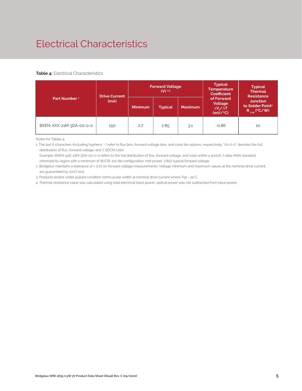# Electrical Characteristics

#### **Table 4:** Electrical Characteristics

|                          | <b>Drive Current</b> |                | <b>Forward Voltage</b><br>$(V)$ <sup>2,3</sup> |                | <b>Typical</b><br><b>Temperature</b><br><b>Coefficient</b>  | <b>Typical</b><br><b>Thermal</b><br><b>Resistance</b><br><b>Junction</b><br>to Solder Point <sup>4</sup><br>$R_{\text{isp}}$ (°C/W) |  |
|--------------------------|----------------------|----------------|------------------------------------------------|----------------|-------------------------------------------------------------|-------------------------------------------------------------------------------------------------------------------------------------|--|
| Part Number <sup>1</sup> | (mA)                 | <b>Minimum</b> | <b>Typical</b>                                 | <b>Maximum</b> | of Forward<br>Voltage<br>$\Delta V \sim \Delta T$<br>(mV/C) |                                                                                                                                     |  |
| BXEN-XXX-21M-3DA-00-0-0  | 150                  | 2.7            | 2.85                                           | 3.1            | $-0.86$                                                     | 10                                                                                                                                  |  |

Notes for Tables 4:

1. The last 6 characters (including hyphens '-') refer to flux bins, forward voltage bins, and color bin options, respectively. "00-0-0" denotes the full distribution of flux, forward voltage, and 7 SDCM color.

 Example: BXEN-40E-21M-3DA-00-0-0 refers to the full distribution of flux, forward voltage, and color within a 4000K 7-step ANSI standard chromaticity region with a minimum of 80CRI, 2x1 die configuration, mid power, 2.85V typical forward voltage.

2. Bridgelux maintains a tolerance of ± 0.1V on forward voltage measurements. Voltage minimum and maximum values at the nominal drive current are guaranteed by 100% test.

3. Products tested under pulsed condition (10ms pulse width) at nominal drive current where Tsp = 25°C.

4. Thermal resistance value was calculated using total electrical input power; optical power was not subtracted from input power.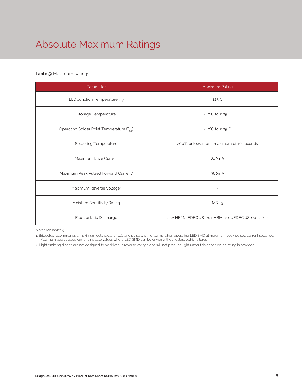# Absolute Maximum Ratings

### **Table 5:** Maximum Ratings

| Parameter                                             | Maximum Rating                                  |  |  |  |  |
|-------------------------------------------------------|-------------------------------------------------|--|--|--|--|
| LED Junction Temperature (T <sub>i</sub> )            | $125^{\circ}$ C                                 |  |  |  |  |
| Storage Temperature                                   | $-40^{\circ}$ C to $+105^{\circ}$ C             |  |  |  |  |
| Operating Solder Point Temperature (T <sub>Sp</sub> ) | $-40^{\circ}$ C to $+105^{\circ}$ C             |  |  |  |  |
| <b>Soldering Temperature</b>                          | 260°C or lower for a maximum of 10 seconds      |  |  |  |  |
| Maximum Drive Current                                 | 240 <sub>m</sub> A                              |  |  |  |  |
| Maximum Peak Pulsed Forward Current <sup>1</sup>      | 360mA                                           |  |  |  |  |
| Maximum Reverse Voltage <sup>2</sup>                  |                                                 |  |  |  |  |
| Moisture Sensitivity Rating                           | MSL <sub>3</sub>                                |  |  |  |  |
| Electrostatic Discharge                               | 2kV HBM, JEDEC-JS-001-HBM and JEDEC-JS-001-2012 |  |  |  |  |

Notes for Tables 5:

1. Bridgelux recommends a maximum duty cycle of 10% and pulse width of 10 ms when operating LED SMD at maximum peak pulsed current specified. Maximum peak pulsed current indicate values where LED SMD can be driven without catastrophic failures.

2. Light emitting diodes are not designed to be driven in reverse voltage and will not produce light under this condition. no rating is provided.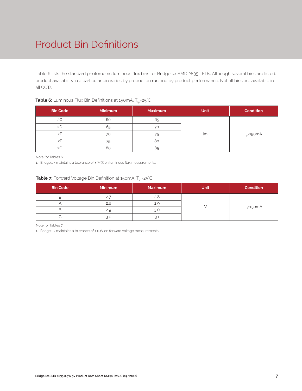# Product Bin Definitions

Table 6 lists the standard photometric luminous flux bins for Bridgelux SMD 2835 LEDs. Although several bins are listed, product availability in a particular bin varies by production run and by product performance. Not all bins are available in all CCTs.

| <b>Bin Code</b> | <b>Minimum</b> | <b>Maximum</b> | <b>Unit</b> | <b>Condition</b> |  |
|-----------------|----------------|----------------|-------------|------------------|--|
| 2C              | 60             | 65             |             |                  |  |
| 2D              | 65             | 70             |             | $I_F = 150mA$    |  |
| 2E              | 70             | 75             | lm          |                  |  |
| 2F              | 75             | 80             |             |                  |  |
| 2G              | 80             | 85             |             |                  |  |

### **Table 6:** Luminous Flux Bin Definitions at 150mA, T<sub>sp</sub>=25°C

Note for Tables 6:

1. Bridgelux maintains a tolerance of ± 7.5% on luminous flux measurements.

### **Table 7:** Forward Voltage Bin Definition at 150mA, T<sub>sp</sub>=25°C

| <b>Bin Code</b> | <b>Minimum</b> | <b>Maximum</b> | <b>Unit</b> | <b>Condition</b> |  |
|-----------------|----------------|----------------|-------------|------------------|--|
|                 | 2.7            | 2.8            |             |                  |  |
|                 | 2.8            |                |             |                  |  |
| ь               | 2.9            | 3.0            |             | $I_F = 150mA$    |  |
|                 | 3.0            |                |             |                  |  |

Note for Tables 7:

1. Bridgelux maintains a tolerance of ± 0.1V on forward voltage measurements.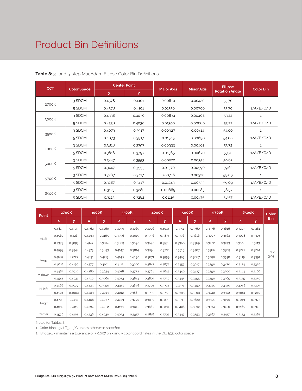## Product Bin Definitions

| <b>CCT</b> |                    |              | <b>Center Point</b> |                   |                   | <b>Ellipse</b>        | Color Bin    |  |
|------------|--------------------|--------------|---------------------|-------------------|-------------------|-----------------------|--------------|--|
|            | <b>Color Space</b> | $\mathsf{x}$ | Y                   | <b>Major Axis</b> | <b>Minor Axis</b> | <b>Rotation Angle</b> |              |  |
|            | 3 SDCM             | 0.4578       | 0.4101              | 0.00810           | 0.00420           | 53.70                 | $\mathbf{1}$ |  |
| 2700K      | 5 SDCM             | 0.4578       | 0.4101              | 0.01350           | 0.00700           | 53.70                 | 1/A/B/C/D    |  |
|            | 3 SDCM             | 0.4338       | 0.4030              | 0.00834           | 0.00408           | 53.22                 | $\mathbf{1}$ |  |
| 3000K      | 5 SDCM             | 0.4338       | 0.4030              | 0.01390           | 0.00680           | 53.22                 | 1/A/B/C/D    |  |
|            | 3 SDCM             | 0.4073       | 0.3917              | 0.00927           | 0.00414           | 54.00                 | 1            |  |
| 3500K      | 5 SDCM             | 0.4073       | 0.3917              | 0.01545           | 0.00690           | 54.00                 | 1/A/B/C/D    |  |
|            | 3 SDCM             | 0.3818       | 0.3797              | 0.00939           | 0.00402           | 53.72                 | 1            |  |
| 4000K      | 5 SDCM             | 0.3818       | 0.3797              | 0.01565           | 0.00670           | 53.72                 | 1/A/B/C/D    |  |
|            | 3 SDCM             | 0.3447       | 0.3553              | 0.00822           | 0.00354           | 59.62                 | 1            |  |
| 5000K      | 5 SDCM             | 0.3447       | 0.3553              | 0.01370           | 0.00590           | 59.62                 | 1/A/B/C/D    |  |
|            | 3 SDCM             | 0.3287       | 0.3417              | 0.00746           | 0.00320           | 59.09                 | $\mathbf{1}$ |  |
| 5700K      | 5 SDCM             | 0.3287       | 0.3417              | 0.01243           | 0.00533           | 59.09                 | 1/A/B/C/D    |  |
|            | 3 SDCM             | 0.3123       | 0.3282              | 0.00669           | 0.00285           | 58.57                 | 1            |  |
| 6500K      | 5 SDCM             | 0.3123       | 0.3282              | 0.01115           | 0.00475           | 58.57                 | 1/A/B/C/D    |  |

**Table 8:** 3- and 5-step MacAdam Ellipse Color Bin Definitions

|                                                         | 2700K  |        | 3000K  |        | 3500K  |        | 4000K  |        | 5000K  |        | 5700K  |        | 6500K  |        | Color      |
|---------------------------------------------------------|--------|--------|--------|--------|--------|--------|--------|--------|--------|--------|--------|--------|--------|--------|------------|
|                                                         | x      | y      | x      | y      | x      | y      | x      | y      | x      | y      | x      | y      | x      | У      | <b>Bin</b> |
|                                                         | 0.4813 | 0.4319 | 0.4562 | 0.4260 | 0.4299 | 0.4165 | 0.4006 | 0.4044 | 0.3551 | 0.3760 | 0.3376 | 0.3616 | 0.3205 | 0.3481 |            |
| <b>Point</b><br><b>ANSI</b><br>V-up<br>V-down<br>H-left | 0.4562 | 0.426  | 0.4299 | 0.4165 | 0.3996 | 0.4015 | 0.3736 | 0.3874 | 0.3376 | 0.3616 | 0.3207 | 0.3462 | 0.3028 | 0.3304 |            |
|                                                         | 0.4373 | 0.3893 | 0.4147 | 0.3814 | 0.3889 | 0.3690 | 0.3670 | 0.3578 | 0.3366 | 0.3369 | 0.3222 | 0.3243 | 0.3068 | 0.3113 |            |
|                                                         | 0.4593 | 0.3944 | 0.4373 | 0.3893 | 0.4147 | 0.3814 | 0.3898 | 0.3716 | 0.3515 | 0.3487 | 0.3366 | 0.3369 | 0.3221 | 0.3261 | F/F/       |
|                                                         | 0.4687 | 0.4289 | 0.4431 | 0.4213 | 0.4148 | 0.4090 | 0.3871 | 0.3959 | 0.3463 | 0.3687 | 0.3290 | 0.3538 | 0.3115 | 0.3391 | G/H        |
|                                                         | 0.4618 | 0.4170 | 0.4377 | 0.4101 | 0.4112 | 0.3996 | 0.3847 | 0.3873 | 0.3457 | 0.3617 | 0.3290 | 0.3470 | 0.3124 | 0.3328 |            |
|                                                         | 0.4483 | 0.3919 | 0.4260 | 0.3854 | 0.4018 | 0.3752 | 0.3784 | 0.3647 | 0.3440 | 0.3427 | 0.3290 | 0.3300 | 0.3144 | 0.3186 |            |
|                                                         | 0.4542 | 0.4031 | 0.4310 | 0.3960 | 0.4053 | 0.3844 | 0.3807 | 0.3730 | 0.3445 | 0.3495 | 0.3290 | 0.3369 | 0.3135 | 0.3250 |            |
|                                                         | 0.4468 | 0.4077 | 0.4223 | 0.3990 | 0.3941 | 0.3848 | 0.3702 | 0.3722 | 0.3371 | 0.3490 | 0.3215 | 0.3350 | 0.3048 | 0.3207 |            |
|                                                         | 0.4524 | 0.4089 | 0.4283 | 0.4013 | 0.4012 | 0.3885 | 0.3755 | 0.3755 | 0.3395 | 0.3509 | 0.3240 | 0.3372 | 0.3081 | 0.3240 |            |
|                                                         | 0.4703 | 0.4132 | 0.4468 | 0.4077 | 0.4223 | 0.3990 | 0.3950 | 0.3875 | 0.3533 | 0.3620 | 0.3371 | 0.3490 | 0.3213 | 0.3373 |            |
| H-right                                                 | 0.4632 | 0.4115 | 0.4394 | 0.4052 | 0.4133 | 0.3945 | 0.3880 | 0.3834 | 0.3498 | 0.3592 | 0.3334 | 0.3456 | 0.3165 | 0.3325 |            |
| Center                                                  | 0.4578 | 0.4101 | 0.4338 | 0.4030 | 0.4073 | 0.3917 | 0.3818 | 0.3797 | 0.3447 | 0.3553 | 0.3287 | 0.3417 | 0.3123 | 0.3282 |            |

Notes for Tables 8:

1. Color binning at  $T_{sp}$ =25°C unless otherwise specified

2. Bridgelux maintains a tolerance of ± 0.007 on x and y color coordinates in the CIE 1931 color space.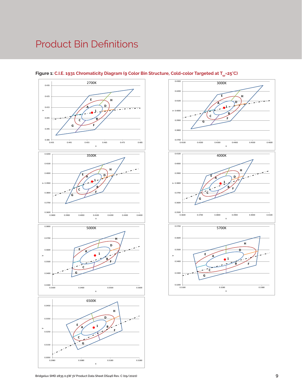# Product Bin Definitions



### Figure 1: C.I.E. 1931 Chromaticity Diagram (9 Color Bin Structure, Cold-color Targeted at T<sub>sp</sub>=25°C)

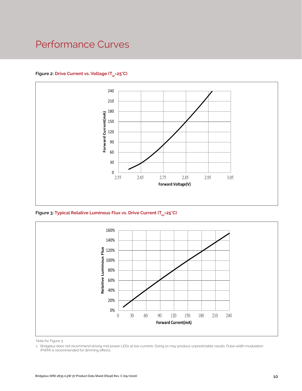## Performance Curves

### Figure 2: Drive Current vs. Voltage (T<sub>SD</sub>=25°C)



Figure 3: Typical Relative Luminous Flux vs. Drive Current (T<sub>sp</sub>=25°C)



Note for Figure 3:

<sup>1.</sup> Bridgelux does not recommend driving mid power LEDs at low currents. Doing so may produce unpredictable results. Pulse width modulation (PWM) is recommended for dimming effects.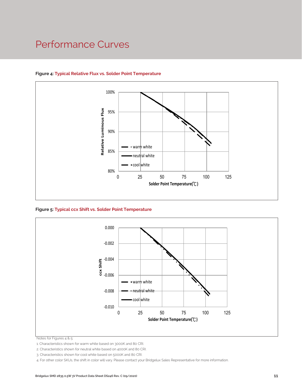### Performance Curves



### **Figure 4: Typical Relative Flux vs. Solder Point Temperature**

**Figure 5: Typical ccx Shift vs. Solder Point Temperature**



Notes for Figures 4 & 5:

1. Characteristics shown for warm white based on 3000K and 80 CRI.

2. Characteristics shown for neutral white based on 4000K and 80 CRI.

3. Characteristics shown for cool white based on 5000K and 80 CRI.

4. For other color SKUs, the shift in color will vary. Please contact your Bridgelux Sales Representative for more information.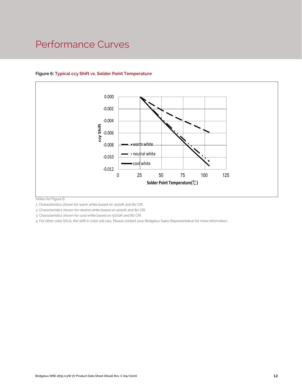### Performance Curves



### **Figure 6: Typical ccy Shift vs. Solder Point Temperature**

Notes for Figure 6:

1. Characteristics shown for warm white based on 3000K and 80 CRI.

2. Characteristics shown for neutral white based on 4000K and 80 CRI.

3. Characteristics shown for cool white based on 5000K and 80 CRI.

4. For other color SKUs, the shift in color will vary. Please contact your Bridgelux Sales Representative for more information.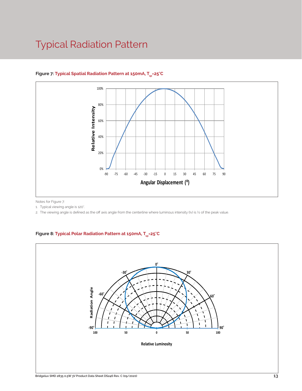# Typical Radiation Pattern



### Figure 7: Typical Spatial Radiation Pattern at 150mA, T<sub>sp</sub>=25°C

Notes for Figure 7:

1. Typical viewing angle is 120°.

2. The viewing angle is defined as the off axis angle from the centerline where luminous intensity (Iv) is ½ of the peak value.

### Figure 8: Typical Polar Radiation Pattern at 150mA, T<sub>sp</sub>=25°C

.

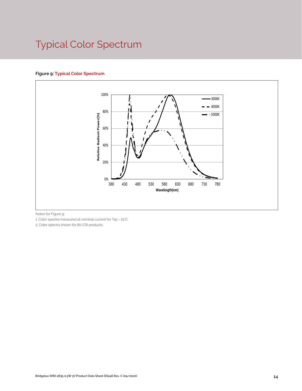# Typical Color Spectrum

### **Figure 9: Typical Color Spectrum**



Notes for Figure 9:

1. Color spectra measured at nominal current for Tsp = 25°C

2. Color spectra shown for 80 CRI products.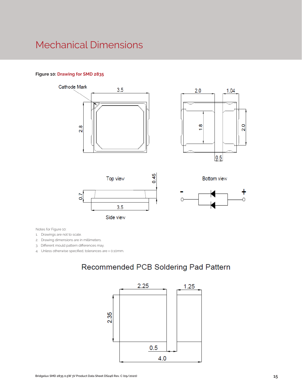## Mechanical Dimensions

### **Figure 10: Drawing for SMD 2835**













Notes for Figure 10:

1. Drawings are not to scale.

2. Drawing dimensions are in millimeters.

3. Different mould pattern differences may.

4. Unless otherwise specified, tolerances are ± 0.10mm.

### Recommended PCB Soldering Pad Pattern

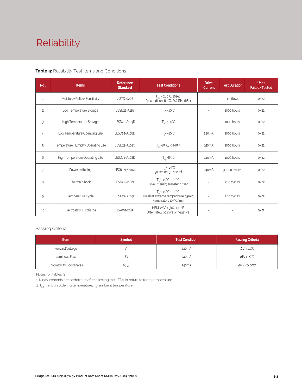# Reliability

### **Table 9:** Reliability Test Items and Conditions

| No.            | <b>Items</b>                        | Reference<br><b>Standard</b> | <b>Test Conditions</b>                                                                                 | <b>Drive</b><br><b>Current</b> | <b>Test Duration</b> | <b>Units</b><br><b>Failed/Tested</b> |
|----------------|-------------------------------------|------------------------------|--------------------------------------------------------------------------------------------------------|--------------------------------|----------------------|--------------------------------------|
| $\mathbf{1}$   | Moisture/Reflow Sensitivity         | J-STD-020E                   | $T_{\text{cld}}$ = 260°C, 10sec,<br>Precondition: 60°C, 60%RH, 168hr                                   |                                | 3 reflows            | 0/22                                 |
| $\overline{c}$ | Low Temperature Storage             | JESD22-A119                  | $T_a = -40^{\circ}C$                                                                                   | $\overline{\phantom{a}}$       | 1000 hours           | 0/22                                 |
| 3              | High Temperature Storage            | JESD22-A103D                 | $T_a = 100^{\circ}$ C                                                                                  |                                | 1000 hours           | 0/22                                 |
| 4              | Low Temperature Operating Life      | JESD22-A108D                 | $T_s = -40^{\circ}C$                                                                                   | 240 <sub>m</sub> A             | 1000 hours           | 0/22                                 |
| 5              | Temperature Humidity Operating Life | JESD22-A101C                 | $T_{\rm SD} = 85^{\circ}$ C, RH=85%                                                                    | 150 <sub>m</sub> A             | 1000 hours           | 0/22                                 |
| 6              | High Temperature Operating Life     | JESD22-A108D                 | $T_{\rm SD} = 85^{\circ}C$                                                                             | 240 <sub>m</sub> A             | 1000 hours           | 0/22                                 |
| $\overline{7}$ | Power switching                     | IEC62717:2014                | $T_{\rm SD} = 85^{\circ}C$<br>30 sec on, 30 sec off                                                    | 240 <sub>m</sub> A             | 30000 cycles         | 0/22                                 |
| 8              | Thermal Shock                       | JESD22-A106B                 | $T_a = -40^{\circ}C \sim 100^{\circ}C$ ;<br>Dwell: 15min; Transfer: 10sec                              | $\sim$                         | 200 cycles           | 0/22                                 |
| 9              | Temperature Cycle                   | JESD22-A104E                 | $T_a = -40^{\circ}C - 100^{\circ}C$ ;<br>Dwell at extreme temperature: 15min;<br>Ramp rate < 105°C/min |                                | 200 cycles           | 0/22                                 |
| 10             | Electrostatic Discharge             | JS-001-2012                  | HBM, $2KV$ , $1.5k\Omega$ , 100pF,<br>Alternately positive or negative                                 | $\overline{\phantom{a}}$       |                      | 0/22                                 |

### Passing Criteria

| <b>Item</b>                     | <b>Symbol</b> | <b>Test Condition</b> | <b>Passing Criteria</b> |
|---------------------------------|---------------|-----------------------|-------------------------|
| Forward Voltage                 |               | 240 <sub>m</sub> A    | ΔVf<10%                 |
| Luminous Flux                   | ۲v            | 240mA                 | ΔFν<30%                 |
| <b>Chromaticity Coordinates</b> | (x, y)        | 240mA                 | Δu'v'<0.007             |

Notes for Tables 9:

1. Measurements are performed after allowing the LEDs to return to room temperature

2.  $\mathsf{T}_{\mathsf{std}}$  : reflow soldering temperature;  $\mathsf{T}_{\mathsf{a}}$  : ambient temperature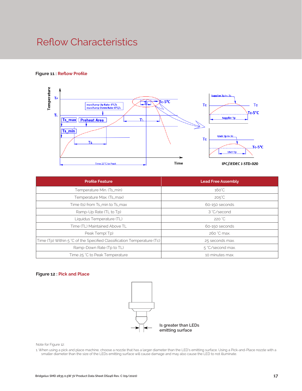## Reflow Characteristics

### **Figure 11 : Reflow Profile**



| <b>Profile Feature</b>                                                 | <b>Lead Free Assembly</b> |  |
|------------------------------------------------------------------------|---------------------------|--|
| Temperature Min. (Ts_min)                                              | $160^{\circ}$ C           |  |
| Temperature Max. (Ts_max)                                              | $205^{\circ}$ C           |  |
| Time (ts) from Ts_min to Ts_max                                        | 60-150 seconds            |  |
| Ramp-Up Rate (TL to Tp)                                                | 3 °C/second               |  |
| Liquidus Temperature (TL)                                              | 220 °C                    |  |
| Time (TL) Maintained Above TL                                          | 60-150 seconds            |  |
| Peak Temp(Tp)                                                          | 260 °C max.               |  |
| Time (Tp) Within 5 °C of the Specified Classification Temperature (Tc) | 25 seconds max.           |  |
| Ramp-Down Rate (Tp to TL)                                              | 5 °C/second max.          |  |
| Time 25 °C to Peak Temperature                                         | 10 minutes max.           |  |

#### **Figure 12 : Pick and Place**



Note for Figure 12:

1. When using a pick and place machine, choose a nozzle that has a larger diameter than the LED's emitting surface. Using a Pick-and-Place nozzle with a smaller diameter than the size of the LEDs emitting surface will cause damage and may also cause the LED to not illuminate.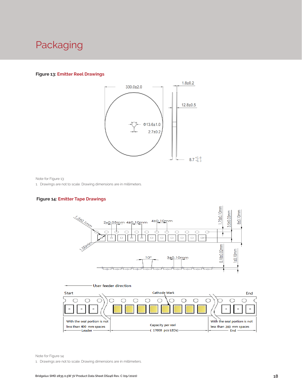## Packaging

#### **Figure 13: Emitter Reel Drawings**



Note for Figure 13:

1. Drawings are not to scale. Drawing dimensions are in millimeters.

#### **Figure 14: Emitter Tape Drawings**





Note for Figure 14:

1. Drawings are not to scale. Drawing dimensions are in millimeters.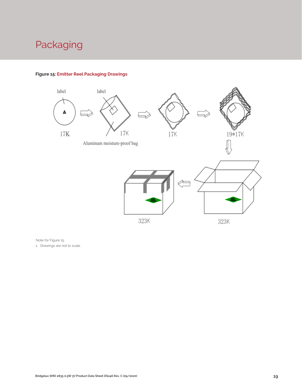# Packaging



### **Figure 15: Emitter Reel Packaging Drawings**

Note for Figure 15:

1. Drawings are not to scale.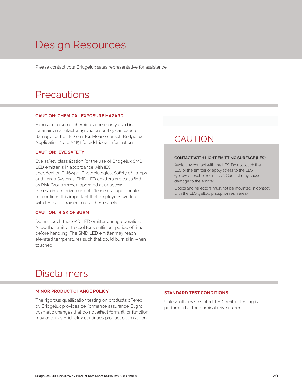# Design Resources

Please contact your Bridgelux sales representative for assistance.

### **Precautions**

#### **CAUTION: CHEMICAL EXPOSURE HAZARD**

Exposure to some chemicals commonly used in luminaire manufacturing and assembly can cause damage to the LED emitter. Please consult Bridgelux Application Note AN51 for additional information.

#### **CAUTION: EYE SAFETY**

Eye safety classification for the use of Bridgelux SMD LED emitter is in accordance with IEC specification EN62471: Photobiological Safety of Lamps and Lamp Systems. SMD LED emitters are classified as Risk Group 1 when operated at or below the maximum drive current. Please use appropriate precautions. It is important that employees working with LEDs are trained to use them safely.

### **CAUTION: RISK OF BURN**

Do not touch the SMD LED emitter during operation. Allow the emitter to cool for a sufficient period of time before handling. The SMD LED emitter may reach elevated temperatures such that could burn skin when touched.

### **CAUTION**

#### **CONTACT WITH LIGHT EMITTING SURFACE (LES)**

Avoid any contact with the LES. Do not touch the LES of the emitter or apply stress to the LES (yellow phosphor resin area). Contact may cause damage to the emitter

Optics and reflectors must not be mounted in contact with the LES (yellow phosphor resin area).

### Disclaimers

#### **MINOR PRODUCT CHANGE POLICY**

The rigorous qualification testing on products offered by Bridgelux provides performance assurance. Slight cosmetic changes that do not affect form, fit, or function may occur as Bridgelux continues product optimization.

### **STANDARD TEST CONDITIONS**

Unless otherwise stated, LED emitter testing is performed at the nominal drive current.